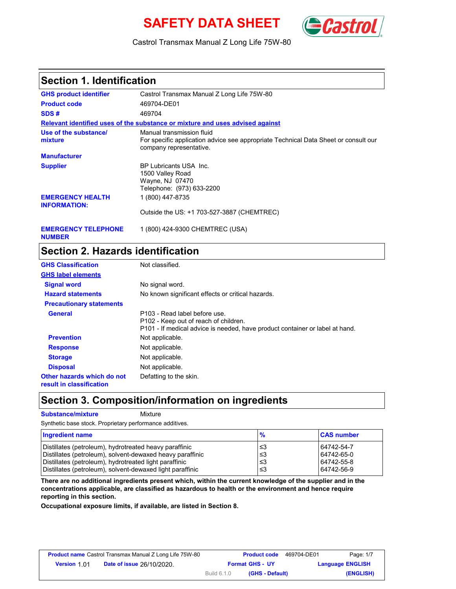# **SAFETY DATA SHEET** (Cast



Castrol Transmax Manual Z Long Life 75W-80

### **Section 1. Identification**

| <b>GHS product identifier</b>                  | Castrol Transmax Manual Z Long Life 75W-80                                                                                                  |
|------------------------------------------------|---------------------------------------------------------------------------------------------------------------------------------------------|
| <b>Product code</b>                            | 469704-DE01                                                                                                                                 |
| SDS#                                           | 469704                                                                                                                                      |
|                                                | Relevant identified uses of the substance or mixture and uses advised against                                                               |
| Use of the substance/<br>mixture               | Manual transmission fluid<br>For specific application advice see appropriate Technical Data Sheet or consult our<br>company representative. |
| <b>Manufacturer</b>                            |                                                                                                                                             |
| <b>Supplier</b>                                | BP Lubricants USA Inc.<br>1500 Valley Road<br>Wayne, NJ 07470<br>Telephone: (973) 633-2200                                                  |
| <b>EMERGENCY HEALTH</b><br><b>INFORMATION:</b> | 1 (800) 447-8735                                                                                                                            |
|                                                | Outside the US: +1 703-527-3887 (CHEMTREC)                                                                                                  |
|                                                |                                                                                                                                             |

**EMERGENCY TELEPHONE** 1 (800) 424-9300 CHEMTREC (USA) **NUMBER**

# **Section 2. Hazards identification**

| <b>GHS Classification</b>                              | Not classified.                                                                                                                                        |
|--------------------------------------------------------|--------------------------------------------------------------------------------------------------------------------------------------------------------|
| <b>GHS label elements</b>                              |                                                                                                                                                        |
| <b>Signal word</b>                                     | No signal word.                                                                                                                                        |
| <b>Hazard statements</b>                               | No known significant effects or critical hazards.                                                                                                      |
| <b>Precautionary statements</b>                        |                                                                                                                                                        |
| <b>General</b>                                         | P103 - Read label before use.<br>P102 - Keep out of reach of children.<br>P101 - If medical advice is needed, have product container or label at hand. |
| <b>Prevention</b>                                      | Not applicable.                                                                                                                                        |
| <b>Response</b>                                        | Not applicable.                                                                                                                                        |
| <b>Storage</b>                                         | Not applicable.                                                                                                                                        |
| <b>Disposal</b>                                        | Not applicable.                                                                                                                                        |
| Other hazards which do not<br>result in classification | Defatting to the skin.                                                                                                                                 |

### **Section 3. Composition/information on ingredients**

**Substance/mixture Mixture** Synthetic base stock. Proprietary performance additives.

| Ingredient name                                           | $\frac{9}{6}$ | <b>CAS number</b> |
|-----------------------------------------------------------|---------------|-------------------|
| Distillates (petroleum), hydrotreated heavy paraffinic    | צ≥            | 64742-54-7        |
| Distillates (petroleum), solvent-dewaxed heavy paraffinic | '≤3           | 64742-65-0        |
| Distillates (petroleum), hydrotreated light paraffinic    | '≤3           | 64742-55-8        |
| Distillates (petroleum), solvent-dewaxed light paraffinic | ≤3            | 64742-56-9        |

**There are no additional ingredients present which, within the current knowledge of the supplier and in the concentrations applicable, are classified as hazardous to health or the environment and hence require reporting in this section.**

**Occupational exposure limits, if available, are listed in Section 8.**

| <b>Product name</b> Castrol Transmax Manual Z Long Life 75W-80 |                                  |                    | <b>Product code</b>    | 469704-DE01             | Page: 1/7 |
|----------------------------------------------------------------|----------------------------------|--------------------|------------------------|-------------------------|-----------|
| <b>Version 1.01</b>                                            | <b>Date of issue 26/10/2020.</b> |                    | <b>Format GHS - UY</b> | <b>Language ENGLISH</b> |           |
|                                                                |                                  | <b>Build 6.1.0</b> | (GHS - Default)        |                         | (ENGLISH) |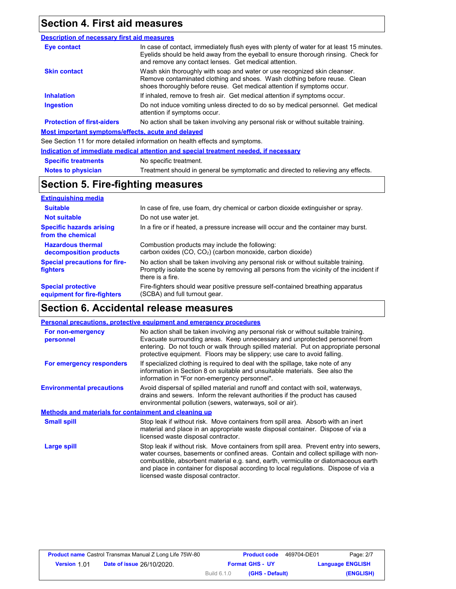## **Section 4. First aid measures**

#### **Description of necessary first aid measures**

| Eye contact                                        | In case of contact, immediately flush eyes with plenty of water for at least 15 minutes.<br>Eyelids should be held away from the eyeball to ensure thorough rinsing. Check for<br>and remove any contact lenses. Get medical attention. |
|----------------------------------------------------|-----------------------------------------------------------------------------------------------------------------------------------------------------------------------------------------------------------------------------------------|
| <b>Skin contact</b>                                | Wash skin thoroughly with soap and water or use recognized skin cleanser.<br>Remove contaminated clothing and shoes. Wash clothing before reuse. Clean<br>shoes thoroughly before reuse. Get medical attention if symptoms occur.       |
| <b>Inhalation</b>                                  | If inhaled, remove to fresh air. Get medical attention if symptoms occur.                                                                                                                                                               |
| <b>Ingestion</b>                                   | Do not induce vomiting unless directed to do so by medical personnel. Get medical<br>attention if symptoms occur.                                                                                                                       |
| <b>Protection of first-aiders</b>                  | No action shall be taken involving any personal risk or without suitable training.                                                                                                                                                      |
| Most important symptoms/effects, acute and delayed |                                                                                                                                                                                                                                         |
|                                                    | See Section 11 for more detailed information on health effects and symptoms.                                                                                                                                                            |
|                                                    | the Marchine of Moreon attacks and Marchines and an included the fisher association of the H. Marchines                                                                                                                                 |

|                            | Indication of immediate medical attention and special treatment needed, if necessary |
|----------------------------|--------------------------------------------------------------------------------------|
| <b>Specific treatments</b> | No specific treatment.                                                               |
| <b>Notes to physician</b>  | Treatment should in general be symptomatic and directed to relieving any effects.    |

# **Section 5. Fire-fighting measures**

| <b>Extinguishing media</b>                               |                                                                                                                                                                                                   |
|----------------------------------------------------------|---------------------------------------------------------------------------------------------------------------------------------------------------------------------------------------------------|
| <b>Suitable</b>                                          | In case of fire, use foam, dry chemical or carbon dioxide extinguisher or spray.                                                                                                                  |
| <b>Not suitable</b>                                      | Do not use water jet.                                                                                                                                                                             |
| <b>Specific hazards arising</b><br>from the chemical     | In a fire or if heated, a pressure increase will occur and the container may burst.                                                                                                               |
| <b>Hazardous thermal</b><br>decomposition products       | Combustion products may include the following:<br>carbon oxides (CO, CO <sub>2</sub> ) (carbon monoxide, carbon dioxide)                                                                          |
| <b>Special precautions for fire-</b><br><b>fighters</b>  | No action shall be taken involving any personal risk or without suitable training.<br>Promptly isolate the scene by removing all persons from the vicinity of the incident if<br>there is a fire. |
| <b>Special protective</b><br>equipment for fire-fighters | Fire-fighters should wear positive pressure self-contained breathing apparatus<br>(SCBA) and full turnout gear.                                                                                   |

## **Section 6. Accidental release measures**

|                                                       | Personal precautions, protective equipment and emergency procedures                                                                                                                                                                                                                                                                                                                                |  |
|-------------------------------------------------------|----------------------------------------------------------------------------------------------------------------------------------------------------------------------------------------------------------------------------------------------------------------------------------------------------------------------------------------------------------------------------------------------------|--|
| For non-emergency<br>personnel                        | No action shall be taken involving any personal risk or without suitable training.<br>Evacuate surrounding areas. Keep unnecessary and unprotected personnel from<br>entering. Do not touch or walk through spilled material. Put on appropriate personal<br>protective equipment. Floors may be slippery; use care to avoid falling.                                                              |  |
| For emergency responders                              | If specialized clothing is required to deal with the spillage, take note of any<br>information in Section 8 on suitable and unsuitable materials. See also the<br>information in "For non-emergency personnel".                                                                                                                                                                                    |  |
| <b>Environmental precautions</b>                      | Avoid dispersal of spilled material and runoff and contact with soil, waterways,<br>drains and sewers. Inform the relevant authorities if the product has caused<br>environmental pollution (sewers, waterways, soil or air).                                                                                                                                                                      |  |
| Methods and materials for containment and cleaning up |                                                                                                                                                                                                                                                                                                                                                                                                    |  |
| <b>Small spill</b>                                    | Stop leak if without risk. Move containers from spill area. Absorb with an inert<br>material and place in an appropriate waste disposal container. Dispose of via a<br>licensed waste disposal contractor.                                                                                                                                                                                         |  |
| Large spill                                           | Stop leak if without risk. Move containers from spill area. Prevent entry into sewers,<br>water courses, basements or confined areas. Contain and collect spillage with non-<br>combustible, absorbent material e.g. sand, earth, vermiculite or diatomaceous earth<br>and place in container for disposal according to local regulations. Dispose of via a<br>licensed waste disposal contractor. |  |

|                    | <b>Product name</b> Castrol Transmax Manual Z Long Life 75W-80 |             | <b>Product code</b>    | 469704-DE01             | Page: 2/7 |
|--------------------|----------------------------------------------------------------|-------------|------------------------|-------------------------|-----------|
| <b>Version 101</b> | <b>Date of issue 26/10/2020.</b>                               |             | <b>Format GHS - UY</b> | <b>Language ENGLISH</b> |           |
|                    |                                                                | Build 6.1.0 | (GHS - Default)        |                         | (ENGLISH) |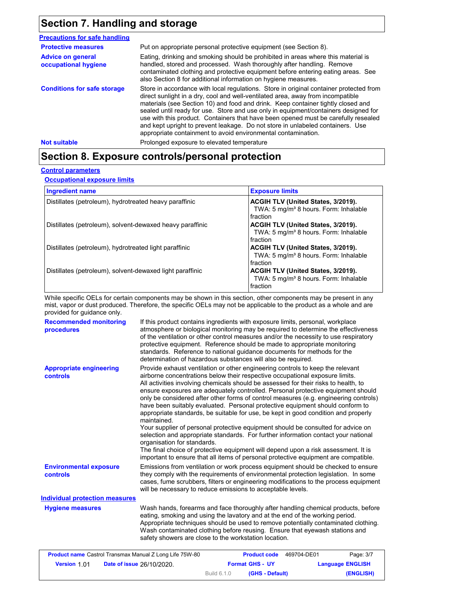## **Section 7. Handling and storage**

| <b>Precautions for safe handling</b>             |                                                                                                                                                                                                                                                                                                                                                                                                                                                                                                                                                                                               |
|--------------------------------------------------|-----------------------------------------------------------------------------------------------------------------------------------------------------------------------------------------------------------------------------------------------------------------------------------------------------------------------------------------------------------------------------------------------------------------------------------------------------------------------------------------------------------------------------------------------------------------------------------------------|
| <b>Protective measures</b>                       | Put on appropriate personal protective equipment (see Section 8).                                                                                                                                                                                                                                                                                                                                                                                                                                                                                                                             |
| <b>Advice on general</b><br>occupational hygiene | Eating, drinking and smoking should be prohibited in areas where this material is<br>handled, stored and processed. Wash thoroughly after handling. Remove<br>contaminated clothing and protective equipment before entering eating areas. See<br>also Section 8 for additional information on hygiene measures.                                                                                                                                                                                                                                                                              |
| <b>Conditions for safe storage</b>               | Store in accordance with local regulations. Store in original container protected from<br>direct sunlight in a dry, cool and well-ventilated area, away from incompatible<br>materials (see Section 10) and food and drink. Keep container tightly closed and<br>sealed until ready for use. Store and use only in equipment/containers designed for<br>use with this product. Containers that have been opened must be carefully resealed<br>and kept upright to prevent leakage. Do not store in unlabeled containers. Use<br>appropriate containment to avoid environmental contamination. |
| <b>Not suitable</b>                              | Prolonged exposure to elevated temperature                                                                                                                                                                                                                                                                                                                                                                                                                                                                                                                                                    |

## **Section 8. Exposure controls/personal protection**

#### **Control parameters**

**Occupational exposure limits**

| <b>Ingredient name</b>                                    | <b>Exposure limits</b>                                                                              |
|-----------------------------------------------------------|-----------------------------------------------------------------------------------------------------|
| Distillates (petroleum), hydrotreated heavy paraffinic    | ACGIH TLV (United States, 3/2019).<br>TWA: 5 mg/m <sup>3</sup> 8 hours. Form: Inhalable<br>fraction |
| Distillates (petroleum), solvent-dewaxed heavy paraffinic | ACGIH TLV (United States, 3/2019).<br>TWA: 5 mg/m <sup>3</sup> 8 hours. Form: Inhalable<br>fraction |
| Distillates (petroleum), hydrotreated light paraffinic    | ACGIH TLV (United States, 3/2019).<br>TWA: 5 mg/m <sup>3</sup> 8 hours. Form: Inhalable<br>fraction |
| Distillates (petroleum), solvent-dewaxed light paraffinic | ACGIH TLV (United States, 3/2019).<br>TWA: 5 mg/m <sup>3</sup> 8 hours. Form: Inhalable<br>fraction |

While specific OELs for certain components may be shown in this section, other components may be present in any mist, vapor or dust produced. Therefore, the specific OELs may not be applicable to the product as a whole and are provided for guidance only.

| <b>Recommended monitoring</b><br>procedures       | If this product contains ingredients with exposure limits, personal, workplace<br>atmosphere or biological monitoring may be required to determine the effectiveness<br>of the ventilation or other control measures and/or the necessity to use respiratory<br>protective equipment. Reference should be made to appropriate monitoring<br>standards. Reference to national guidance documents for methods for the<br>determination of hazardous substances will also be required.                                                                                                                                                                                                                                                                                                                                                                                                                                                                                                                           |
|---------------------------------------------------|---------------------------------------------------------------------------------------------------------------------------------------------------------------------------------------------------------------------------------------------------------------------------------------------------------------------------------------------------------------------------------------------------------------------------------------------------------------------------------------------------------------------------------------------------------------------------------------------------------------------------------------------------------------------------------------------------------------------------------------------------------------------------------------------------------------------------------------------------------------------------------------------------------------------------------------------------------------------------------------------------------------|
| <b>Appropriate engineering</b><br><b>controls</b> | Provide exhaust ventilation or other engineering controls to keep the relevant<br>airborne concentrations below their respective occupational exposure limits.<br>All activities involving chemicals should be assessed for their risks to health, to<br>ensure exposures are adequately controlled. Personal protective equipment should<br>only be considered after other forms of control measures (e.g. engineering controls)<br>have been suitably evaluated. Personal protective equipment should conform to<br>appropriate standards, be suitable for use, be kept in good condition and properly<br>maintained.<br>Your supplier of personal protective equipment should be consulted for advice on<br>selection and appropriate standards. For further information contact your national<br>organisation for standards.<br>The final choice of protective equipment will depend upon a risk assessment. It is<br>important to ensure that all items of personal protective equipment are compatible. |
| <b>Environmental exposure</b><br>controls         | Emissions from ventilation or work process equipment should be checked to ensure<br>they comply with the requirements of environmental protection legislation. In some<br>cases, fume scrubbers, filters or engineering modifications to the process equipment<br>will be necessary to reduce emissions to acceptable levels.                                                                                                                                                                                                                                                                                                                                                                                                                                                                                                                                                                                                                                                                                 |
| <b>Individual protection measures</b>             |                                                                                                                                                                                                                                                                                                                                                                                                                                                                                                                                                                                                                                                                                                                                                                                                                                                                                                                                                                                                               |
| <b>Hygiene measures</b>                           | Wash hands, forearms and face thoroughly after handling chemical products, before<br>eating, smoking and using the lavatory and at the end of the working period.<br>Appropriate techniques should be used to remove potentially contaminated clothing.<br>Wash contaminated clothing before reusing. Ensure that eyewash stations and<br>safety showers are close to the workstation location.                                                                                                                                                                                                                                                                                                                                                                                                                                                                                                                                                                                                               |

| <b>Product name</b> Castrol Transmax Manual Z Long Life 75W-80 |                                  |             | <b>Product code</b>    | 469704-DE01             | Page: 3/7 |
|----------------------------------------------------------------|----------------------------------|-------------|------------------------|-------------------------|-----------|
| <b>Version 1.01</b>                                            | <b>Date of issue 26/10/2020.</b> |             | <b>Format GHS - UY</b> | <b>Language ENGLISH</b> |           |
|                                                                |                                  | Build 6.1.0 | (GHS - Default)        |                         | (ENGLISH) |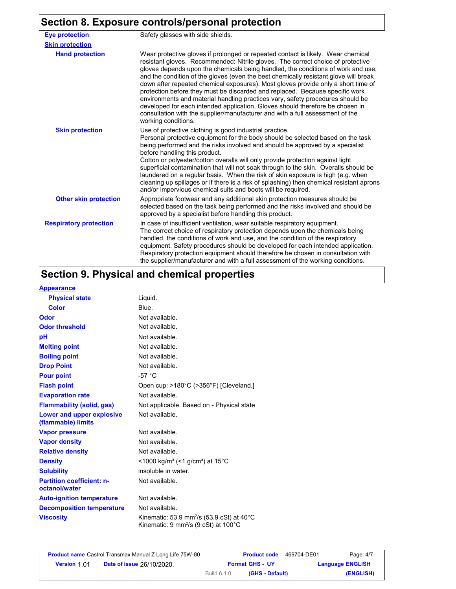### **Section 8. Exposure controls/personal protection**

| <b>Eye protection</b>         | Safety glasses with side shields.                                                                                                                                                                                                                                                                                                                                                                                                                                                                                                                                                                                                                                                                                                                                                               |
|-------------------------------|-------------------------------------------------------------------------------------------------------------------------------------------------------------------------------------------------------------------------------------------------------------------------------------------------------------------------------------------------------------------------------------------------------------------------------------------------------------------------------------------------------------------------------------------------------------------------------------------------------------------------------------------------------------------------------------------------------------------------------------------------------------------------------------------------|
| <b>Skin protection</b>        |                                                                                                                                                                                                                                                                                                                                                                                                                                                                                                                                                                                                                                                                                                                                                                                                 |
| <b>Hand protection</b>        | Wear protective gloves if prolonged or repeated contact is likely. Wear chemical<br>resistant gloves. Recommended: Nitrile gloves. The correct choice of protective<br>gloves depends upon the chemicals being handled, the conditions of work and use.<br>and the condition of the gloves (even the best chemically resistant glove will break<br>down after repeated chemical exposures). Most gloves provide only a short time of<br>protection before they must be discarded and replaced. Because specific work<br>environments and material handling practices vary, safety procedures should be<br>developed for each intended application. Gloves should therefore be chosen in<br>consultation with the supplier/manufacturer and with a full assessment of the<br>working conditions. |
| <b>Skin protection</b>        | Use of protective clothing is good industrial practice.<br>Personal protective equipment for the body should be selected based on the task<br>being performed and the risks involved and should be approved by a specialist<br>before handling this product.<br>Cotton or polyester/cotton overalls will only provide protection against light<br>superficial contamination that will not soak through to the skin. Overalls should be<br>laundered on a regular basis. When the risk of skin exposure is high (e.g. when<br>cleaning up spillages or if there is a risk of splashing) then chemical resistant aprons<br>and/or impervious chemical suits and boots will be required.                                                                                                           |
| <b>Other skin protection</b>  | Appropriate footwear and any additional skin protection measures should be<br>selected based on the task being performed and the risks involved and should be<br>approved by a specialist before handling this product.                                                                                                                                                                                                                                                                                                                                                                                                                                                                                                                                                                         |
| <b>Respiratory protection</b> | In case of insufficient ventilation, wear suitable respiratory equipment.<br>The correct choice of respiratory protection depends upon the chemicals being<br>handled, the conditions of work and use, and the condition of the respiratory<br>equipment. Safety procedures should be developed for each intended application.<br>Respiratory protection equipment should therefore be chosen in consultation with<br>the supplier/manufacturer and with a full assessment of the working conditions.                                                                                                                                                                                                                                                                                           |

## **Section 9. Physical and chemical properties**

#### **Appearance**

| <b>Physical state</b>                             | Liguid.                                                                                                             |
|---------------------------------------------------|---------------------------------------------------------------------------------------------------------------------|
| Color                                             | Blue.                                                                                                               |
| Odor                                              | Not available.                                                                                                      |
| <b>Odor threshold</b>                             | Not available.                                                                                                      |
| рH                                                | Not available.                                                                                                      |
| <b>Melting point</b>                              | Not available.                                                                                                      |
| <b>Boiling point</b>                              | Not available.                                                                                                      |
| <b>Drop Point</b>                                 | Not available.                                                                                                      |
| <b>Pour point</b>                                 | -57 $\degree$ C                                                                                                     |
| <b>Flash point</b>                                | Open cup: >180°C (>356°F) [Cleveland.]                                                                              |
| <b>Evaporation rate</b>                           | Not available.                                                                                                      |
| <b>Flammability (solid, gas)</b>                  | Not applicable. Based on - Physical state                                                                           |
| Lower and upper explosive<br>(flammable) limits   | Not available.                                                                                                      |
| <b>Vapor pressure</b>                             | Not available.                                                                                                      |
| <b>Vapor density</b>                              | Not available.                                                                                                      |
| <b>Relative density</b>                           | Not available.                                                                                                      |
| <b>Density</b>                                    | $<$ 1000 kg/m <sup>3</sup> (<1 g/cm <sup>3</sup> ) at 15 <sup>°</sup> C                                             |
| <b>Solubility</b>                                 | insoluble in water.                                                                                                 |
| <b>Partition coefficient: n-</b><br>octanol/water | Not available.                                                                                                      |
| <b>Auto-ignition temperature</b>                  | Not available.                                                                                                      |
| <b>Decomposition temperature</b>                  | Not available.                                                                                                      |
| <b>Viscosity</b>                                  | Kinematic: 53.9 mm <sup>2</sup> /s (53.9 cSt) at $40^{\circ}$ C<br>Kinematic: 9 mm <sup>2</sup> /s (9 cSt) at 100°C |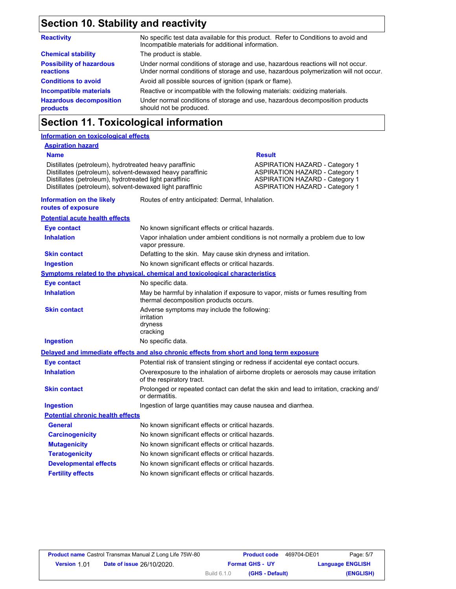## **Section 10. Stability and reactivity**

| <b>Reactivity</b>                            | No specific test data available for this product. Refer to Conditions to avoid and<br>Incompatible materials for additional information.                                |
|----------------------------------------------|-------------------------------------------------------------------------------------------------------------------------------------------------------------------------|
| <b>Chemical stability</b>                    | The product is stable.                                                                                                                                                  |
| <b>Possibility of hazardous</b><br>reactions | Under normal conditions of storage and use, hazardous reactions will not occur.<br>Under normal conditions of storage and use, hazardous polymerization will not occur. |
| <b>Conditions to avoid</b>                   | Avoid all possible sources of ignition (spark or flame).                                                                                                                |
| <b>Incompatible materials</b>                | Reactive or incompatible with the following materials: oxidizing materials.                                                                                             |
| <b>Hazardous decomposition</b><br>products   | Under normal conditions of storage and use, hazardous decomposition products<br>should not be produced.                                                                 |

## **Section 11. Toxicological information**

| <b>Information on toxicological effects</b>                                                                                                                                                                                                |                                                                                          |                                                                                                                                                                  |
|--------------------------------------------------------------------------------------------------------------------------------------------------------------------------------------------------------------------------------------------|------------------------------------------------------------------------------------------|------------------------------------------------------------------------------------------------------------------------------------------------------------------|
| <b>Aspiration hazard</b>                                                                                                                                                                                                                   |                                                                                          |                                                                                                                                                                  |
| <b>Name</b>                                                                                                                                                                                                                                |                                                                                          | <b>Result</b>                                                                                                                                                    |
| Distillates (petroleum), hydrotreated heavy paraffinic<br>Distillates (petroleum), solvent-dewaxed heavy paraffinic<br>Distillates (petroleum), hydrotreated light paraffinic<br>Distillates (petroleum), solvent-dewaxed light paraffinic |                                                                                          | <b>ASPIRATION HAZARD - Category 1</b><br><b>ASPIRATION HAZARD - Category 1</b><br><b>ASPIRATION HAZARD - Category 1</b><br><b>ASPIRATION HAZARD - Category 1</b> |
| Information on the likely<br>routes of exposure                                                                                                                                                                                            | Routes of entry anticipated: Dermal, Inhalation.                                         |                                                                                                                                                                  |
| <b>Potential acute health effects</b>                                                                                                                                                                                                      |                                                                                          |                                                                                                                                                                  |
| Eye contact                                                                                                                                                                                                                                | No known significant effects or critical hazards.                                        |                                                                                                                                                                  |
| <b>Inhalation</b>                                                                                                                                                                                                                          | vapor pressure.                                                                          | Vapor inhalation under ambient conditions is not normally a problem due to low                                                                                   |
| <b>Skin contact</b>                                                                                                                                                                                                                        | Defatting to the skin. May cause skin dryness and irritation.                            |                                                                                                                                                                  |
| <b>Ingestion</b>                                                                                                                                                                                                                           | No known significant effects or critical hazards.                                        |                                                                                                                                                                  |
|                                                                                                                                                                                                                                            | Symptoms related to the physical, chemical and toxicological characteristics             |                                                                                                                                                                  |
| <b>Eye contact</b>                                                                                                                                                                                                                         | No specific data.                                                                        |                                                                                                                                                                  |
| <b>Inhalation</b>                                                                                                                                                                                                                          | thermal decomposition products occurs.                                                   | May be harmful by inhalation if exposure to vapor, mists or fumes resulting from                                                                                 |
| <b>Skin contact</b>                                                                                                                                                                                                                        | Adverse symptoms may include the following:<br>irritation<br>dryness<br>cracking         |                                                                                                                                                                  |
| <b>Ingestion</b>                                                                                                                                                                                                                           | No specific data.                                                                        |                                                                                                                                                                  |
|                                                                                                                                                                                                                                            | Delayed and immediate effects and also chronic effects from short and long term exposure |                                                                                                                                                                  |
| <b>Eye contact</b>                                                                                                                                                                                                                         | Potential risk of transient stinging or redness if accidental eye contact occurs.        |                                                                                                                                                                  |
| <b>Inhalation</b>                                                                                                                                                                                                                          | of the respiratory tract.                                                                | Overexposure to the inhalation of airborne droplets or aerosols may cause irritation                                                                             |
| <b>Skin contact</b>                                                                                                                                                                                                                        | or dermatitis.                                                                           | Prolonged or repeated contact can defat the skin and lead to irritation, cracking and/                                                                           |
| <b>Ingestion</b>                                                                                                                                                                                                                           | Ingestion of large quantities may cause nausea and diarrhea.                             |                                                                                                                                                                  |
| <b>Potential chronic health effects</b>                                                                                                                                                                                                    |                                                                                          |                                                                                                                                                                  |
| General                                                                                                                                                                                                                                    | No known significant effects or critical hazards.                                        |                                                                                                                                                                  |
| <b>Carcinogenicity</b>                                                                                                                                                                                                                     | No known significant effects or critical hazards.                                        |                                                                                                                                                                  |
| <b>Mutagenicity</b>                                                                                                                                                                                                                        | No known significant effects or critical hazards.                                        |                                                                                                                                                                  |
| <b>Teratogenicity</b>                                                                                                                                                                                                                      | No known significant effects or critical hazards.                                        |                                                                                                                                                                  |
| <b>Developmental effects</b>                                                                                                                                                                                                               | No known significant effects or critical hazards.                                        |                                                                                                                                                                  |
| <b>Fertility effects</b>                                                                                                                                                                                                                   | No known significant effects or critical hazards.                                        |                                                                                                                                                                  |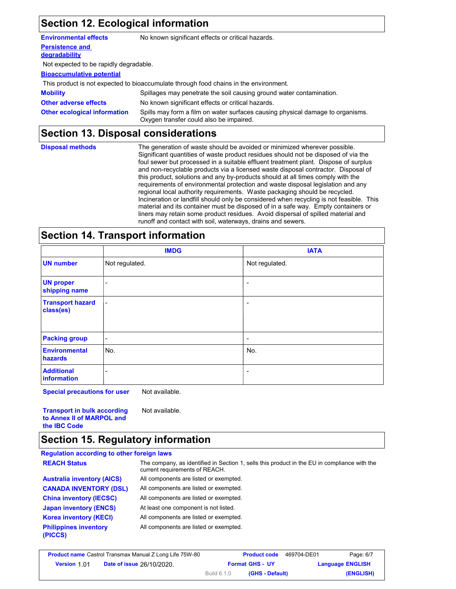## **Section 12. Ecological information**

| <b>Environmental effects</b>            | No known significant effects or critical hazards.                                                                         |
|-----------------------------------------|---------------------------------------------------------------------------------------------------------------------------|
| <b>Persistence and</b><br>degradability |                                                                                                                           |
| Not expected to be rapidly degradable.  |                                                                                                                           |
| <b>Bioaccumulative potential</b>        |                                                                                                                           |
|                                         | This product is not expected to bioaccumulate through food chains in the environment.                                     |
| <b>Mobility</b>                         | Spillages may penetrate the soil causing ground water contamination.                                                      |
| <b>Other adverse effects</b>            | No known significant effects or critical hazards.                                                                         |
| <b>Other ecological information</b>     | Spills may form a film on water surfaces causing physical damage to organisms.<br>Oxygen transfer could also be impaired. |

## **Section 13. Disposal considerations**

| <b>Disposal methods</b> | The generation of waste should be avoided or minimized wherever possible.<br>Significant quantities of waste product residues should not be disposed of via the<br>foul sewer but processed in a suitable effluent treatment plant. Dispose of surplus<br>and non-recyclable products via a licensed waste disposal contractor. Disposal of<br>this product, solutions and any by-products should at all times comply with the<br>requirements of environmental protection and waste disposal legislation and any<br>regional local authority requirements. Waste packaging should be recycled.<br>Incineration or landfill should only be considered when recycling is not feasible. This |
|-------------------------|--------------------------------------------------------------------------------------------------------------------------------------------------------------------------------------------------------------------------------------------------------------------------------------------------------------------------------------------------------------------------------------------------------------------------------------------------------------------------------------------------------------------------------------------------------------------------------------------------------------------------------------------------------------------------------------------|
|                         | material and its container must be disposed of in a safe way. Empty containers or<br>liners may retain some product residues. Avoid dispersal of spilled material and<br>runoff and contact with soil, waterways, drains and sewers.                                                                                                                                                                                                                                                                                                                                                                                                                                                       |

### **Section 14. Transport information**

|                                      | <b>IMDG</b>              | <b>IATA</b>    |
|--------------------------------------|--------------------------|----------------|
| <b>UN number</b>                     | Not regulated.           | Not regulated. |
| <b>UN proper</b><br>shipping name    | ۰                        |                |
| <b>Transport hazard</b><br>class(es) | $\blacksquare$           |                |
| <b>Packing group</b>                 | $\overline{\phantom{a}}$ | -              |
| <b>Environmental</b><br>hazards      | No.                      | No.            |
| <b>Additional</b><br>information     |                          | -              |

**Special precautions for user** Not available.

**Transport in bulk according to Annex II of MARPOL and the IBC Code** Not available.

### **Section 15. Regulatory information**

#### **Regulation according to other foreign laws** All components are listed or exempted. All components are listed or exempted. All components are listed or exempted. At least one component is not listed. All components are listed or exempted. **Philippines inventory** All components are listed or exempted. **(PICCS) China inventory (IECSC) CANADA INVENTORY (DSL) Australia inventory (AICS) Korea inventory (KECI) Japan inventory (ENCS) REACH Status** The company, as identified in Section 1, sells this product in the EU in compliance with the current requirements of REACH.

| <b>Product name</b> Castrol Transmax Manual Z Long Life 75W-80 |                                  |                    | <b>Product code</b>    | 469704-DE01             | Page: 6/7 |
|----------------------------------------------------------------|----------------------------------|--------------------|------------------------|-------------------------|-----------|
| <b>Version 1.01</b>                                            | <b>Date of issue 26/10/2020.</b> |                    | <b>Format GHS - UY</b> | <b>Language ENGLISH</b> |           |
|                                                                |                                  | <b>Build 6.1.0</b> | (GHS - Default)        |                         | (ENGLISH) |